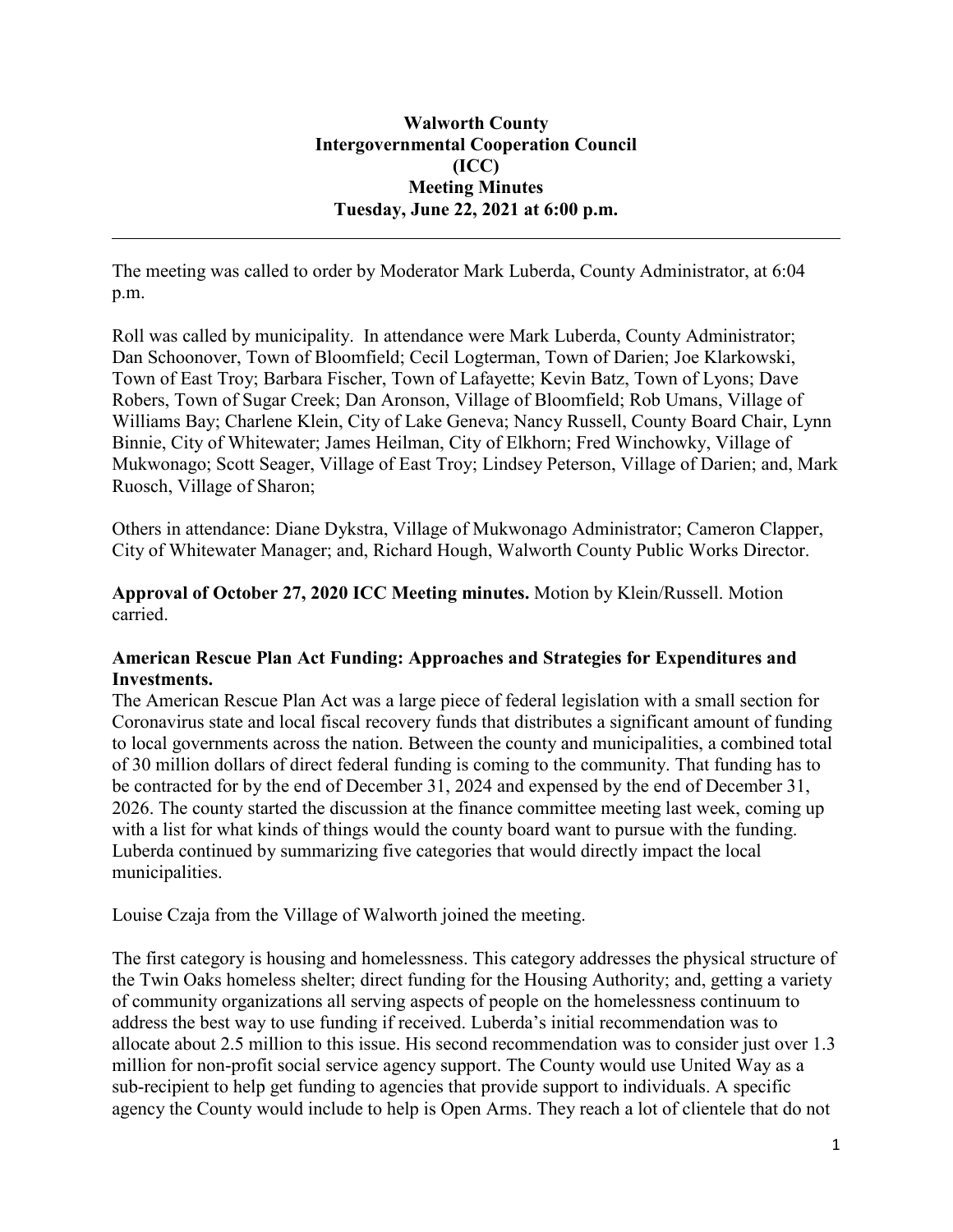The meeting was called to order by Moderator Mark Luberda, County Administrator, at 6:04 p.m.

Roll was called by municipality. In attendance were Mark Luberda, County Administrator; Dan Schoonover, Town of Bloomfield; Cecil Logterman, Town of Darien; Joe Klarkowski, Town of East Troy; Barbara Fischer, Town of Lafayette; Kevin Batz, Town of Lyons; Dave Robers, Town of Sugar Creek; Dan Aronson, Village of Bloomfield; Rob Umans, Village of Williams Bay; Charlene Klein, City of Lake Geneva; Nancy Russell, County Board Chair, Lynn Binnie, City of Whitewater; James Heilman, City of Elkhorn; Fred Winchowky, Village of Mukwonago; Scott Seager, Village of East Troy; Lindsey Peterson, Village of Darien; and, Mark Ruosch, Village of Sharon;

Others in attendance: Diane Dykstra, Village of Mukwonago Administrator; Cameron Clapper, City of Whitewater Manager; and, Richard Hough, Walworth County Public Works Director.

**Approval of October 27, 2020 ICC Meeting minutes.** Motion by Klein/Russell. Motion carried.

## **American Rescue Plan Act Funding: Approaches and Strategies for Expenditures and Investments.**

The American Rescue Plan Act was a large piece of federal legislation with a small section for Coronavirus state and local fiscal recovery funds that distributes a significant amount of funding to local governments across the nation. Between the county and municipalities, a combined total of 30 million dollars of direct federal funding is coming to the community. That funding has to be contracted for by the end of December 31, 2024 and expensed by the end of December 31, 2026. The county started the discussion at the finance committee meeting last week, coming up with a list for what kinds of things would the county board want to pursue with the funding. Luberda continued by summarizing five categories that would directly impact the local municipalities.

Louise Czaja from the Village of Walworth joined the meeting.

The first category is housing and homelessness. This category addresses the physical structure of the Twin Oaks homeless shelter; direct funding for the Housing Authority; and, getting a variety of community organizations all serving aspects of people on the homelessness continuum to address the best way to use funding if received. Luberda's initial recommendation was to allocate about 2.5 million to this issue. His second recommendation was to consider just over 1.3 million for non-profit social service agency support. The County would use United Way as a sub-recipient to help get funding to agencies that provide support to individuals. A specific agency the County would include to help is Open Arms. They reach a lot of clientele that do not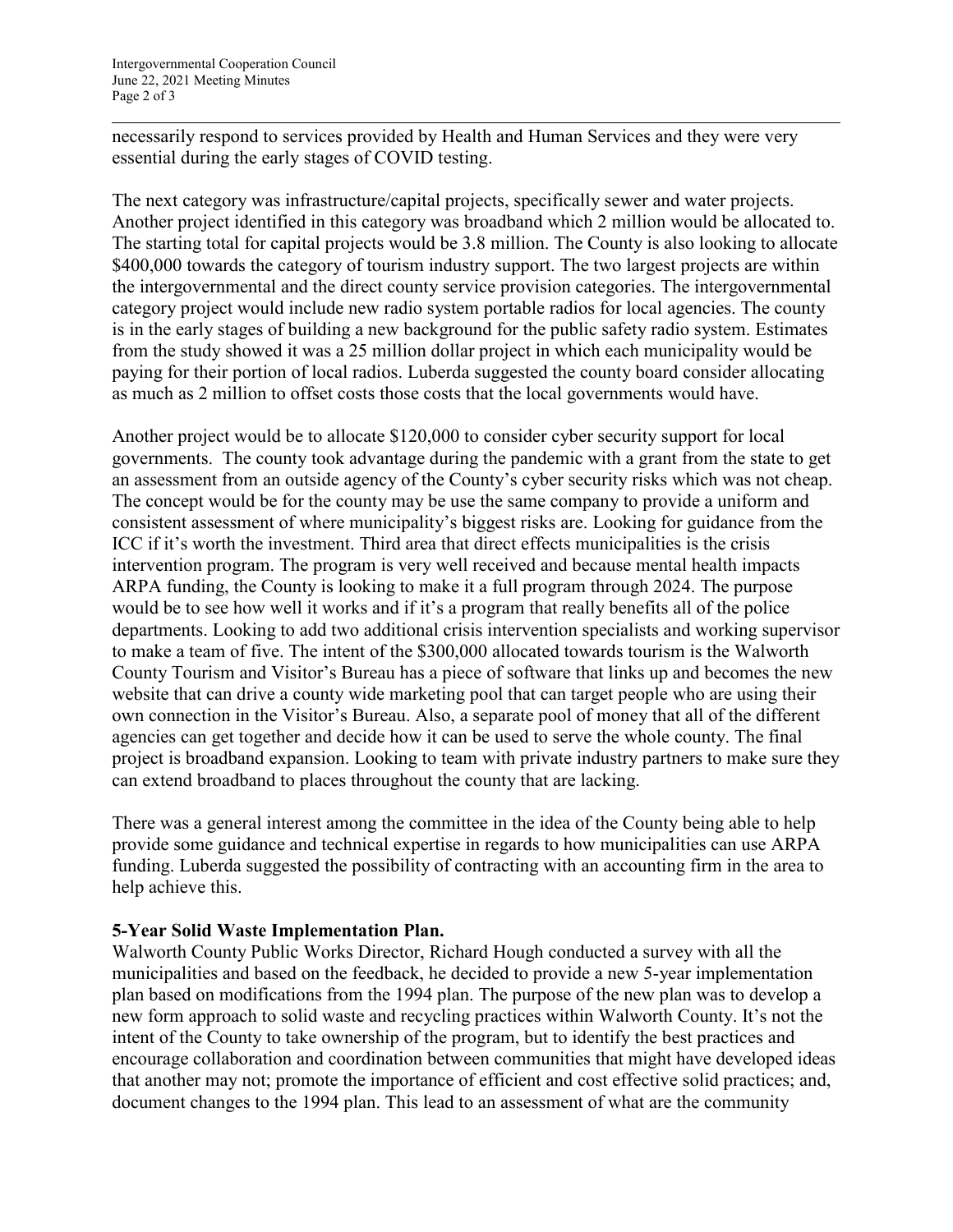necessarily respond to services provided by Health and Human Services and they were very essential during the early stages of COVID testing.

The next category was infrastructure/capital projects, specifically sewer and water projects. Another project identified in this category was broadband which 2 million would be allocated to. The starting total for capital projects would be 3.8 million. The County is also looking to allocate \$400,000 towards the category of tourism industry support. The two largest projects are within the intergovernmental and the direct county service provision categories. The intergovernmental category project would include new radio system portable radios for local agencies. The county is in the early stages of building a new background for the public safety radio system. Estimates from the study showed it was a 25 million dollar project in which each municipality would be paying for their portion of local radios. Luberda suggested the county board consider allocating as much as 2 million to offset costs those costs that the local governments would have.

Another project would be to allocate \$120,000 to consider cyber security support for local governments. The county took advantage during the pandemic with a grant from the state to get an assessment from an outside agency of the County's cyber security risks which was not cheap. The concept would be for the county may be use the same company to provide a uniform and consistent assessment of where municipality's biggest risks are. Looking for guidance from the ICC if it's worth the investment. Third area that direct effects municipalities is the crisis intervention program. The program is very well received and because mental health impacts ARPA funding, the County is looking to make it a full program through 2024. The purpose would be to see how well it works and if it's a program that really benefits all of the police departments. Looking to add two additional crisis intervention specialists and working supervisor to make a team of five. The intent of the \$300,000 allocated towards tourism is the Walworth County Tourism and Visitor's Bureau has a piece of software that links up and becomes the new website that can drive a county wide marketing pool that can target people who are using their own connection in the Visitor's Bureau. Also, a separate pool of money that all of the different agencies can get together and decide how it can be used to serve the whole county. The final project is broadband expansion. Looking to team with private industry partners to make sure they can extend broadband to places throughout the county that are lacking.

There was a general interest among the committee in the idea of the County being able to help provide some guidance and technical expertise in regards to how municipalities can use ARPA funding. Luberda suggested the possibility of contracting with an accounting firm in the area to help achieve this.

## **5-Year Solid Waste Implementation Plan.**

Walworth County Public Works Director, Richard Hough conducted a survey with all the municipalities and based on the feedback, he decided to provide a new 5-year implementation plan based on modifications from the 1994 plan. The purpose of the new plan was to develop a new form approach to solid waste and recycling practices within Walworth County. It's not the intent of the County to take ownership of the program, but to identify the best practices and encourage collaboration and coordination between communities that might have developed ideas that another may not; promote the importance of efficient and cost effective solid practices; and, document changes to the 1994 plan. This lead to an assessment of what are the community